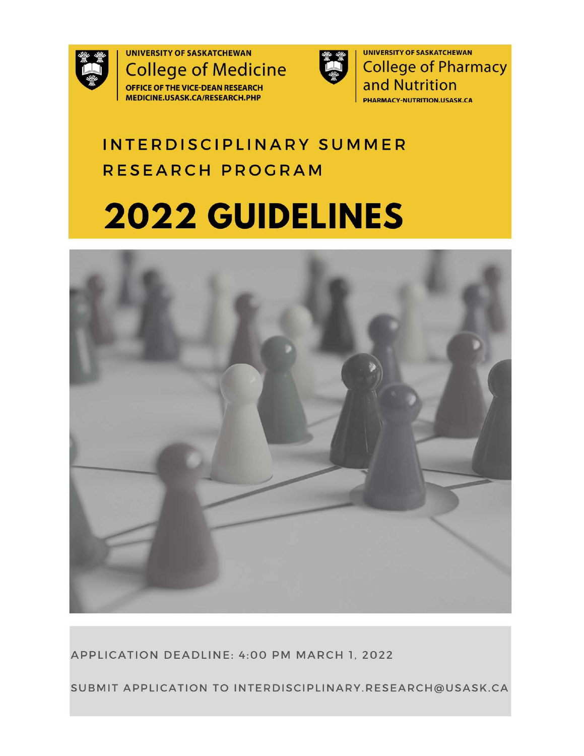

**UNIVERSITY OF SASKATCHEWAN College of Medicine** OFFICE OF THE VICE-DEAN RESEARCH MEDICINE.USASK.CA/RESEARCH.PHP



**UNIVERSITY OF SASKATCHEWAN College of Pharmacy** and Nutrition **PHARMACY-NUTRITION.USASK.CA** 

## INTERDISCIPLINARY SUMMER RESEARCH PROGRAM

# 2022 GUIDELINES



APPLICATION DEADLINE: 4:00 PM MARCH 1, 2022

SUBMIT APPLICATION TO INTERDISCIPLINARY.RESEARCH@USASK.CA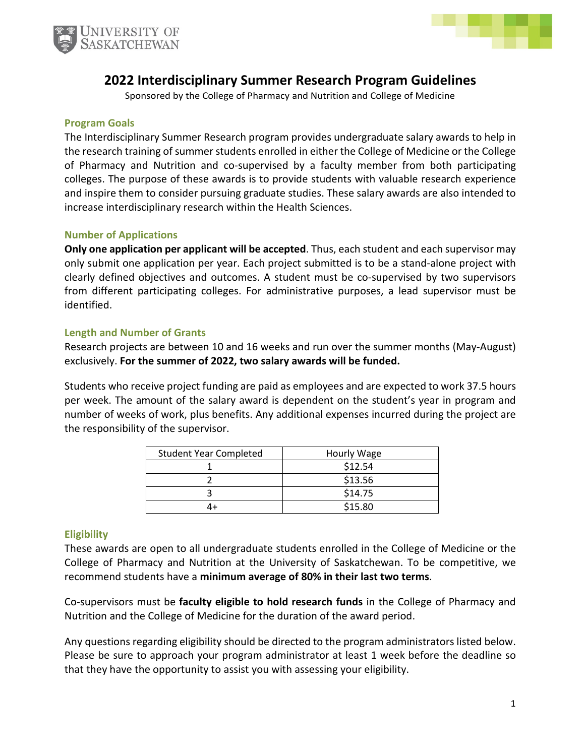



### **2022 Interdisciplinary Summer Research Program Guidelines**

Sponsored by the College of Pharmacy and Nutrition and College of Medicine

#### **Program Goals**

The Interdisciplinary Summer Research program provides undergraduate salary awards to help in the research training of summer students enrolled in either the College of Medicine or the College of Pharmacy and Nutrition and co-supervised by a faculty member from both participating colleges. The purpose of these awards is to provide students with valuable research experience and inspire them to consider pursuing graduate studies. These salary awards are also intended to increase interdisciplinary research within the Health Sciences.

#### **Number of Applications**

**Only one application per applicant will be accepted**. Thus, each student and each supervisor may only submit one application per year. Each project submitted is to be a stand-alone project with clearly defined objectives and outcomes. A student must be co-supervised by two supervisors from different participating colleges. For administrative purposes, a lead supervisor must be identified.

#### **Length and Number of Grants**

Research projects are between 10 and 16 weeks and run over the summer months (May-August) exclusively. **For the summer of 2022, two salary awards will be funded.** 

Students who receive project funding are paid as employees and are expected to work 37.5 hours per week. The amount of the salary award is dependent on the student's year in program and number of weeks of work, plus benefits. Any additional expenses incurred during the project are the responsibility of the supervisor.

| <b>Student Year Completed</b> | Hourly Wage |
|-------------------------------|-------------|
|                               | \$12.54     |
|                               | \$13.56     |
|                               | \$14.75     |
|                               | \$15.80     |

#### **Eligibility**

These awards are open to all undergraduate students enrolled in the College of Medicine or the College of Pharmacy and Nutrition at the University of Saskatchewan. To be competitive, we recommend students have a **minimum average of 80% in their last two terms**.

Co-supervisors must be **faculty eligible to hold research funds** in the College of Pharmacy and Nutrition and the College of Medicine for the duration of the award period.

Any questions regarding eligibility should be directed to the program administrators listed below. Please be sure to approach your program administrator at least 1 week before the deadline so that they have the opportunity to assist you with assessing your eligibility.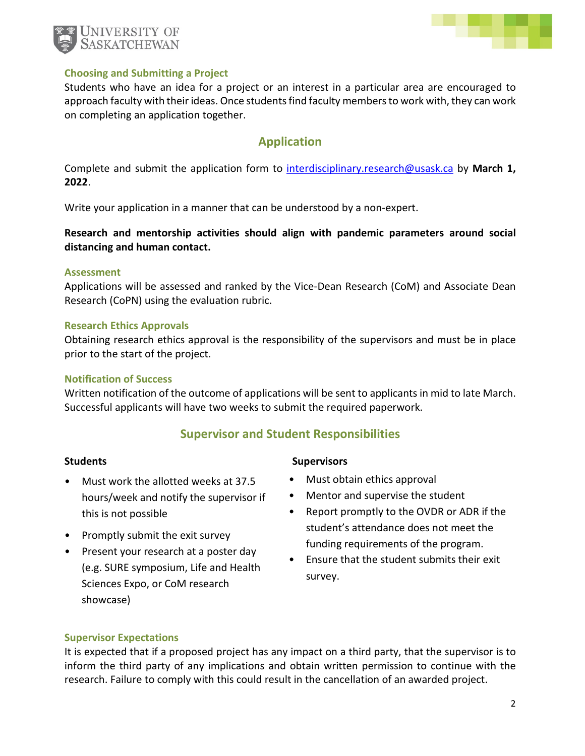



#### **Choosing and Submitting a Project**

Students who have an idea for a project or an interest in a particular area are encouraged to approach faculty with their ideas. Once students find faculty members to work with, they can work on completing an application together.

#### **Application**

Complete and submit the application form to [interdisciplinary.research@usask.ca b](mailto:interdisciplinary.research@usask.ca)y **March 1, 2022**.

Write your application in a manner that can be understood by a non-expert.

**Research and mentorship activities should align with pandemic parameters around social distancing and human contact.** 

#### **Assessment**

Applications will be assessed and ranked by the Vice-Dean Research (CoM) and Associate Dean Research (CoPN) using the evaluation rubric.

#### **Research Ethics Approvals**

Obtaining research ethics approval is the responsibility of the supervisors and must be in place prior to the start of the project.

#### **Notification of Success**

Written notification of the outcome of applications will be sent to applicants in mid to late March. Successful applicants will have two weeks to submit the required paperwork.

#### **Supervisor and Student Responsibilities**

- Must work the allotted weeks at 37.5 hours/week and notify the supervisor if this is not possible
- Promptly submit the exit survey
- Present your research at a poster day (e.g. SURE symposium, Life and Health Sciences Expo, or CoM research showcase)

#### **Students** Supervisors **Supervisors**

- Must obtain ethics approval
- Mentor and supervise the student
- Report promptly to the OVDR or ADR if the student's attendance does not meet the funding requirements of the program.
- Ensure that the student submits their exit survey.

#### **Supervisor Expectations**

It is expected that if a proposed project has any impact on a third party, that the supervisor is to inform the third party of any implications and obtain written permission to continue with the research. Failure to comply with this could result in the cancellation of an awarded project.